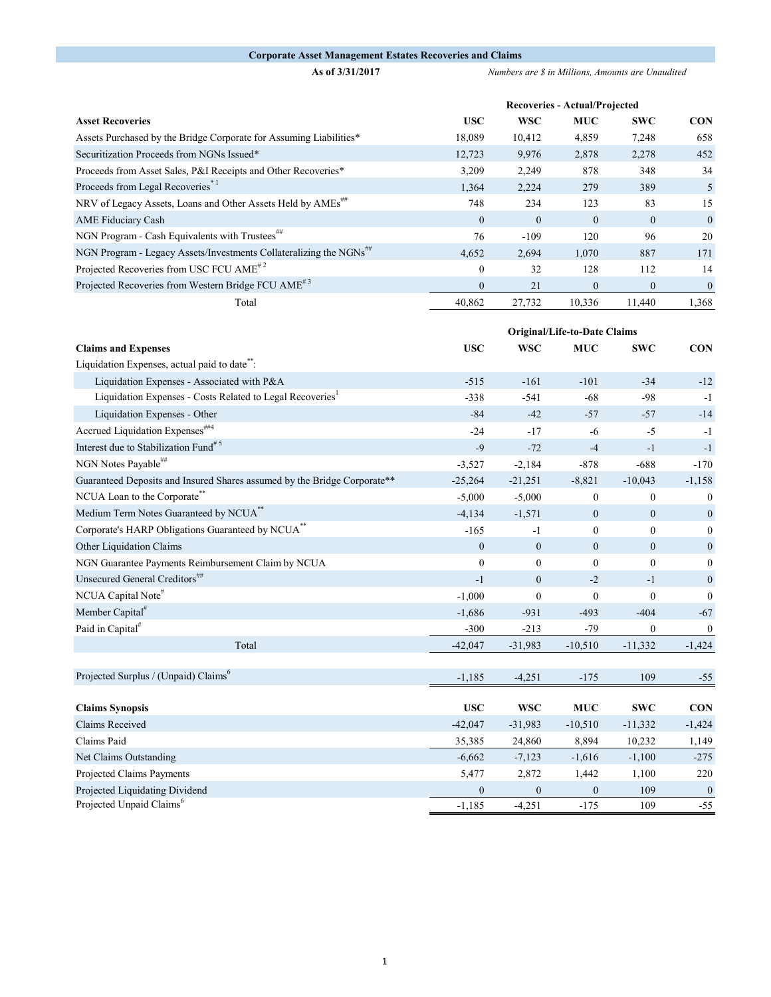## **Corporate Asset Management Estates Recoveries and Claims**

**As of 3/31/2017** *Numbers are \$ in Millions, Amounts are Unaudited*

|                                                                                | Recoveries - Actual/Projected |              |              |              |              |  |
|--------------------------------------------------------------------------------|-------------------------------|--------------|--------------|--------------|--------------|--|
| <b>Asset Recoveries</b>                                                        | <b>USC</b>                    | <b>WSC</b>   | <b>MUC</b>   | <b>SWC</b>   | <b>CON</b>   |  |
| Assets Purchased by the Bridge Corporate for Assuming Liabilities*             | 18,089                        | 10,412       | 4,859        | 7,248        | 658          |  |
| Securitization Proceeds from NGNs Issued*                                      | 12,723                        | 9.976        | 2,878        | 2,278        | 452          |  |
| Proceeds from Asset Sales, P&I Receipts and Other Recoveries*                  | 3,209                         | 2,249        | 878          | 348          | 34           |  |
| Proceeds from Legal Recoveries <sup>*1</sup>                                   | 1,364                         | 2,224        | 279          | 389          | 5            |  |
| NRV of Legacy Assets, Loans and Other Assets Held by AMEs##                    | 748                           | 234          | 123          | 83           | 15           |  |
| <b>AME Fiduciary Cash</b>                                                      | $\mathbf{0}$                  | $\mathbf{0}$ | $\theta$     | $\mathbf{0}$ | $\theta$     |  |
| NGN Program - Cash Equivalents with Trustees <sup>##</sup>                     | 76                            | $-109$       | 120          | 96           | 20           |  |
| NGN Program - Legacy Assets/Investments Collateralizing the NGNs <sup>##</sup> | 4,652                         | 2,694        | 1,070        | 887          | 171          |  |
| Projected Recoveries from USC FCU AME <sup>#2</sup>                            | $\mathbf{0}$                  | 32           | 128          | 112          | 14           |  |
| Projected Recoveries from Western Bridge FCU AME <sup>#3</sup>                 | $\mathbf{0}$                  | 21           | $\mathbf{0}$ | $\mathbf{0}$ | $\mathbf{0}$ |  |
| Total                                                                          | 40,862                        | 27,732       | 10,336       | 11,440       | 1,368        |  |

|                                                                          |              | Original/Life-to-Date Claims |                  |                  |                  |
|--------------------------------------------------------------------------|--------------|------------------------------|------------------|------------------|------------------|
| <b>Claims and Expenses</b>                                               | <b>USC</b>   | <b>WSC</b>                   | <b>MUC</b>       | <b>SWC</b>       | <b>CON</b>       |
| Liquidation Expenses, actual paid to date <sup>**</sup> :                |              |                              |                  |                  |                  |
| Liquidation Expenses - Associated with P&A                               | $-515$       | $-161$                       | $-101$           | $-34$            | $-12$            |
| Liquidation Expenses - Costs Related to Legal Recoveries                 | $-338$       | $-541$                       | $-68$            | $-98$            | $-1$             |
| Liquidation Expenses - Other                                             | $-84$        | $-42$                        | $-57$            | $-57$            | $-14$            |
| Accrued Liquidation Expenses <sup>##4</sup>                              | $-24$        | $-17$                        | $-6$             | $-5$             | $-1$             |
| Interest due to Stabilization Fund <sup>#5</sup>                         | $-9$         | $-72$                        | $-4$             | $-1$             | $-1$             |
| NGN Notes Payable##                                                      | $-3,527$     | $-2,184$                     | $-878$           | $-688$           | $-170$           |
| Guaranteed Deposits and Insured Shares assumed by the Bridge Corporate** | $-25,264$    | $-21,251$                    | $-8,821$         | $-10,043$        | $-1,158$         |
| NCUA Loan to the Corporate"                                              | $-5,000$     | $-5,000$                     | $\boldsymbol{0}$ | $\boldsymbol{0}$ | $\boldsymbol{0}$ |
| Medium Term Notes Guaranteed by NCUA <sup>**</sup>                       | $-4,134$     | $-1,571$                     | $\mathbf{0}$     | $\mathbf{0}$     | $\boldsymbol{0}$ |
| Corporate's HARP Obligations Guaranteed by NCUA <sup>**</sup>            | $-165$       | $-1$                         | $\mathbf{0}$     | $\mathbf{0}$     | $\Omega$         |
| Other Liquidation Claims                                                 | $\theta$     | $\boldsymbol{0}$             | $\mathbf{0}$     | $\theta$         | $\boldsymbol{0}$ |
| NGN Guarantee Payments Reimbursement Claim by NCUA                       | $\mathbf{0}$ | $\mathbf{0}$                 | $\mathbf{0}$     | $\mathbf{0}$     | $\mathbf{0}$     |
| Unsecured General Creditors##                                            | $-1$         | $\boldsymbol{0}$             | $-2$             | $-1$             | $\boldsymbol{0}$ |
| NCUA Capital Note#                                                       | $-1,000$     | $\boldsymbol{0}$             | $\mathbf{0}$     | $\mathbf{0}$     | $\mathbf{0}$     |
| Member Capital <sup>#</sup>                                              | $-1,686$     | $-931$                       | $-493$           | $-404$           | $-67$            |
| Paid in Capital <sup>#</sup>                                             | $-300$       | $-213$                       | $-79$            | $\mathbf{0}$     | $\boldsymbol{0}$ |
| Total                                                                    | $-42,047$    | $-31,983$                    | $-10,510$        | $-11,332$        | $-1,424$         |
|                                                                          |              |                              |                  |                  |                  |
| Projected Surplus / (Unpaid) Claims <sup>6</sup>                         | $-1,185$     | $-4,251$                     | $-175$           | 109              | $-55$            |
|                                                                          |              |                              |                  |                  |                  |
| <b>Claims Synopsis</b>                                                   | <b>USC</b>   | <b>WSC</b>                   | <b>MUC</b>       | <b>SWC</b>       | <b>CON</b>       |
| Claims Received                                                          | $-42,047$    | $-31,983$                    | $-10,510$        | $-11,332$        | $-1,424$         |
| Claims Paid                                                              | 35,385       | 24,860                       | 8,894            | 10,232           | 1,149            |
| Net Claims Outstanding                                                   | $-6,662$     | $-7,123$                     | $-1,616$         | $-1,100$         | $-275$           |
| Projected Claims Payments                                                | 5,477        | 2,872                        | 1,442            | 1,100            | 220              |
| Projected Liquidating Dividend                                           | $\mathbf{0}$ | $\boldsymbol{0}$             | $\mathbf{0}$     | 109              | $\mathbf{0}$     |
| Projected Unpaid Claims <sup>6</sup>                                     | $-1,185$     | $-4,251$                     | $-175$           | 109              | $-55$            |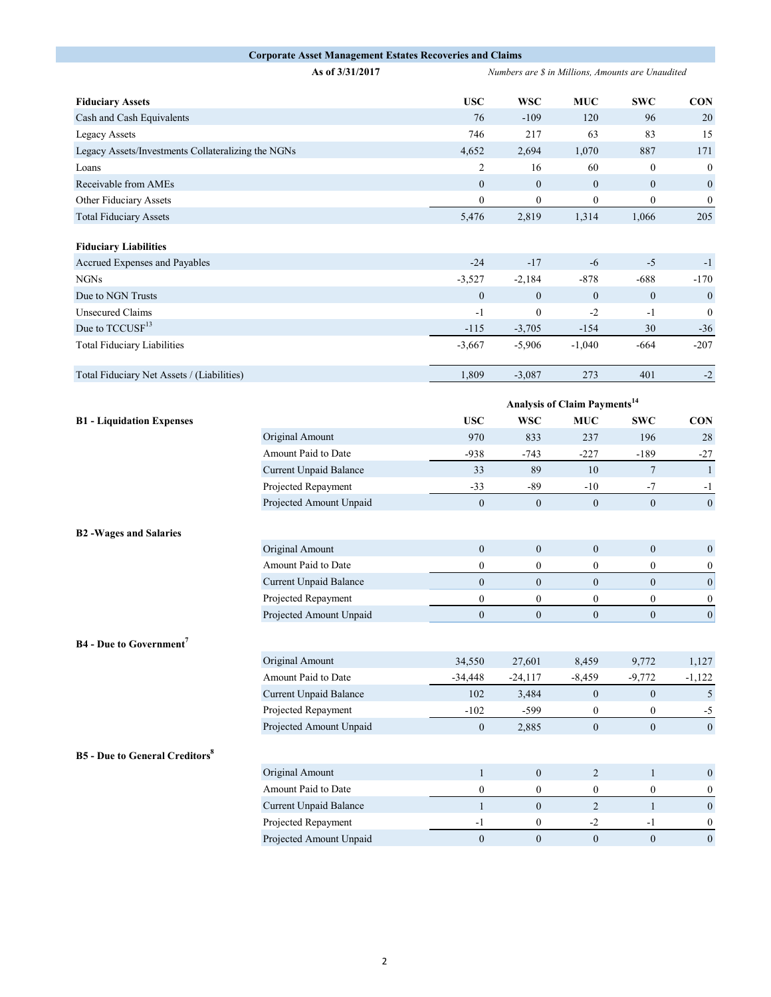|                                                    | <b>Corporate Asset Management Estates Recoveries and Claims</b> |                                                   |                  |                                          |                  |                  |
|----------------------------------------------------|-----------------------------------------------------------------|---------------------------------------------------|------------------|------------------------------------------|------------------|------------------|
|                                                    | As of 3/31/2017                                                 | Numbers are \$ in Millions, Amounts are Unaudited |                  |                                          |                  |                  |
| <b>Fiduciary Assets</b>                            |                                                                 | <b>USC</b>                                        | <b>WSC</b>       | <b>MUC</b>                               | <b>SWC</b>       | <b>CON</b>       |
| Cash and Cash Equivalents                          |                                                                 | 76                                                | $-109$           | 120                                      | 96               | 20               |
| <b>Legacy Assets</b>                               |                                                                 | 746                                               | 217              | 63                                       | 83               | 15               |
| Legacy Assets/Investments Collateralizing the NGNs |                                                                 | 4,652                                             | 2,694            | 1,070                                    | 887              | 171              |
| Loans                                              |                                                                 | $\overline{c}$                                    | 16               | 60                                       | $\bf{0}$         | $\mathbf 0$      |
| Receivable from AMEs                               |                                                                 | $\boldsymbol{0}$                                  | $\boldsymbol{0}$ | $\boldsymbol{0}$                         | $\boldsymbol{0}$ | $\mathbf 0$      |
| Other Fiduciary Assets                             |                                                                 | $\boldsymbol{0}$                                  | $\boldsymbol{0}$ | $\boldsymbol{0}$                         | $\overline{0}$   | $\mathbf 0$      |
| <b>Total Fiduciary Assets</b>                      |                                                                 | 5,476                                             | 2,819            | 1,314                                    | 1,066            | 205              |
| <b>Fiduciary Liabilities</b>                       |                                                                 |                                                   |                  |                                          |                  |                  |
| Accrued Expenses and Payables                      |                                                                 | $-24$                                             | $-17$            | $-6$                                     | $-5$             | $-1$             |
| <b>NGNs</b>                                        |                                                                 | $-3,527$                                          | $-2,184$         | $-878$                                   | $-688$           | $-170$           |
| Due to NGN Trusts                                  |                                                                 | $\mathbf{0}$                                      | $\mathbf{0}$     | $\boldsymbol{0}$                         | $\bf{0}$         | $\mathbf 0$      |
| <b>Unsecured Claims</b>                            |                                                                 | $-1$                                              | $\mathbf{0}$     | $-2$                                     | $-1$             | $\mathbf 0$      |
| Due to TCCUSF <sup>13</sup>                        |                                                                 | $-115$                                            | $-3,705$         | $-154$                                   | 30               | $-36$            |
| <b>Total Fiduciary Liabilities</b>                 |                                                                 | $-3,667$                                          | $-5,906$         | $-1,040$                                 | $-664$           | $-207$           |
| Total Fiduciary Net Assets / (Liabilities)         |                                                                 | 1,809                                             | $-3,087$         | 273                                      | 401              | $-2$             |
|                                                    |                                                                 |                                                   |                  | Analysis of Claim Payments <sup>14</sup> |                  |                  |
| <b>B1</b> - Liquidation Expenses                   |                                                                 | <b>USC</b>                                        | <b>WSC</b>       | <b>MUC</b>                               | <b>SWC</b>       | <b>CON</b>       |
|                                                    | Original Amount                                                 | 970                                               | 833              | 237                                      | 196              | 28               |
|                                                    | Amount Paid to Date                                             | $-938$                                            | $-743$           | $-227$                                   | $-189$           | $-27$            |
|                                                    | Current Unpaid Balance                                          | 33                                                | 89               | 10                                       | $\tau$           | $\mathbf{1}$     |
|                                                    | Projected Repayment                                             | $-33$                                             | $-89$            | $-10$                                    | -7               | $-1$             |
|                                                    | Projected Amount Unpaid                                         | $\mathbf{0}$                                      | $\boldsymbol{0}$ | $\boldsymbol{0}$                         | $\mathbf{0}$     | $\mathbf 0$      |
|                                                    |                                                                 |                                                   |                  |                                          |                  |                  |
| <b>B2</b> -Wages and Salaries                      |                                                                 |                                                   |                  |                                          |                  |                  |
|                                                    | Original Amount                                                 | $\boldsymbol{0}$                                  | $\mathbf{0}$     | $\boldsymbol{0}$                         | $\mathbf{0}$     | $\mathbf 0$      |
|                                                    | Amount Paid to Date                                             | 0                                                 | $\boldsymbol{0}$ | $\boldsymbol{0}$                         | $\boldsymbol{0}$ | $\mathbf 0$      |
|                                                    | Current Unpaid Balance                                          | $\mathbf{0}$                                      | $\mathbf{0}$     | $\boldsymbol{0}$                         | $\boldsymbol{0}$ | $\mathbf 0$      |
|                                                    | Projected Repayment                                             | $\boldsymbol{0}$                                  | $\boldsymbol{0}$ | $\boldsymbol{0}$                         | $\boldsymbol{0}$ | $\mathbf 0$      |
|                                                    | Projected Amount Unpaid                                         | $\boldsymbol{0}$                                  | $\boldsymbol{0}$ | $\boldsymbol{0}$                         | $\boldsymbol{0}$ | $\mathbf 0$      |
| <b>B4</b> - Due to Government <sup>7</sup>         |                                                                 |                                                   |                  |                                          |                  |                  |
|                                                    | Original Amount                                                 | 34,550                                            | 27,601           | 8,459                                    | 9,772            | 1,127            |
|                                                    | Amount Paid to Date                                             | $-34,448$                                         | $-24,117$        | $-8,459$                                 | $-9,772$         | $-1,122$         |
|                                                    | Current Unpaid Balance                                          | 102                                               | 3,484            | $\mathbf{0}$                             | $\bf{0}$         | 5                |
|                                                    | Projected Repayment                                             | $-102$                                            | $-599$           | $\bf{0}$                                 | $\boldsymbol{0}$ | $-5$             |
|                                                    | Projected Amount Unpaid                                         | $\boldsymbol{0}$                                  | 2,885            | $\boldsymbol{0}$                         | $\mathbf{0}$     | $\mathbf 0$      |
| <b>B5</b> - Due to General Creditors <sup>8</sup>  |                                                                 |                                                   |                  |                                          |                  |                  |
|                                                    | Original Amount                                                 | $\mathbf{1}$                                      | $\boldsymbol{0}$ | $\overline{c}$                           | $\mathbf{1}$     | $\mathbf 0$      |
|                                                    | Amount Paid to Date                                             | $\boldsymbol{0}$                                  | $\boldsymbol{0}$ | $\boldsymbol{0}$                         | $\boldsymbol{0}$ | $\mathbf 0$      |
|                                                    | <b>Current Unpaid Balance</b>                                   | $\mathbf{1}$                                      | $\mathbf{0}$     | $\overline{2}$                           | $\mathbf{1}$     | $\boldsymbol{0}$ |
|                                                    | Projected Repayment                                             | $-1$                                              | $\boldsymbol{0}$ | $-2$                                     | $-1$             | $\mathbf 0$      |
|                                                    | Projected Amount Unpaid                                         | $\boldsymbol{0}$                                  | $\boldsymbol{0}$ | $\mathbf{0}$                             | $\mathbf{0}$     | $\boldsymbol{0}$ |